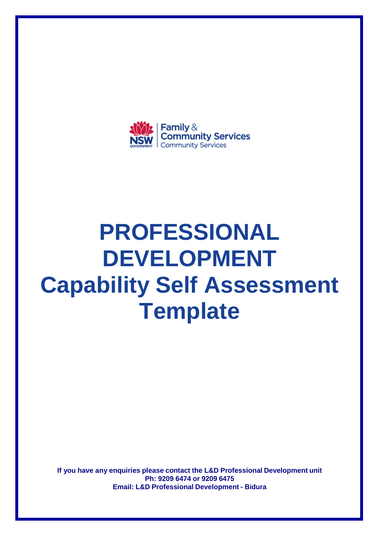

# **PROFESSIONAL DEVELOPMENT Capability Self Assessment Template**

**If you have any enquiries please contact the L&D Professional Development unit Ph: 9209 6474 or 9209 6475 Email: L&D Professional Development - Bidura**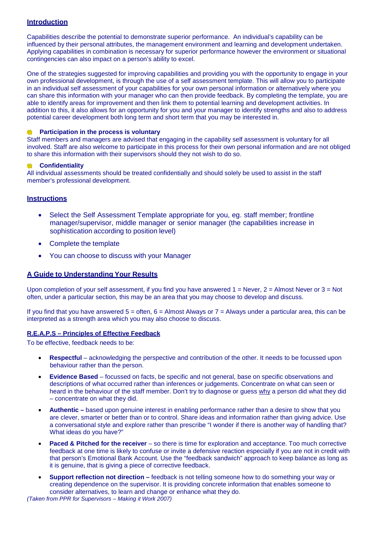### **Introduction**

Capabilities describe the potential to demonstrate superior performance. An individual's capability can be influenced by their personal attributes, the management environment and learning and development undertaken. Applying capabilities in combination is necessary for superior performance however the environment or situational contingencies can also impact on a person's ability to excel.

One of the strategies suggested for improving capabilities and providing you with the opportunity to engage in your own professional development, is through the use of a self assessment template. This will allow you to participate in an individual self assessment of your capabilities for your own personal information or alternatively where you can share this information with your manager who can then provide feedback. By completing the template, you are able to identify areas for improvement and then link them to potential learning and development activities. In addition to this, it also allows for an opportunity for you and your manager to identify strengths and also to address potential career development both long term and short term that you may be interested in.

#### **Participation in the process is voluntary**

Staff members and managers are advised that engaging in the capability self assessment is voluntary for all involved. Staff are also welcome to participate in this process for their own personal information and are not obliged to share this information with their supervisors should they not wish to do so.

#### **Confidentiality**

All individual assessments should be treated confidentially and should solely be used to assist in the staff member's professional development.

#### **Instructions**

- Select the Self Assessment Template appropriate for you, eg. staff member; frontline manager/supervisor, middle manager or senior manager (the capabilities increase in sophistication according to position level)
- Complete the template
- You can choose to discuss with your Manager

#### **A Guide to Understanding Your Results**

Upon completion of your self assessment, if you find you have answered  $1 =$  Never,  $2 =$  Almost Never or  $3 =$  Not often, under a particular section, this may be an area that you may choose to develop and discuss.

If you find that you have answered  $5 =$  often,  $6 =$  Almost Always or  $7 =$  Always under a particular area, this can be interpreted as a strength area which you may also choose to discuss.

#### **R.E.A.P.S – Principles of Effective Feedback**

To be effective, feedback needs to be:

- **Respectful**  acknowledging the perspective and contribution of the other. It needs to be focussed upon behaviour rather than the person.
- **Evidence Based**  focussed on facts, be specific and not general, base on specific observations and descriptions of what occurred rather than inferences or judgements. Concentrate on what can seen or heard in the behaviour of the staff member. Don't try to diagnose or guess why a person did what they did – concentrate on what they did.
- **Authentic** based upon genuine interest in enabling performance rather than a desire to show that you are clever, smarter or better than or to control. Share ideas and information rather than giving advice. Use a conversational style and explore rather than prescribe "I wonder if there is another way of handling that? What ideas do you have?"
- **Paced & Pitched for the receiver** so there is time for exploration and acceptance. Too much corrective feedback at one time is likely to confuse or invite a defensive reaction especially if you are not in credit with that person's Emotional Bank Account. Use the "feedback sandwich" approach to keep balance as long as it is genuine, that is giving a piece of corrective feedback.
- **Support reflection not direction** feedback is not telling someone how to do something your way or creating dependence on the supervisor. It is providing concrete information that enables someone to consider alternatives, to learn and change or enhance what they do.

(Taken from PPR for Supervisors – Making it Work 2007)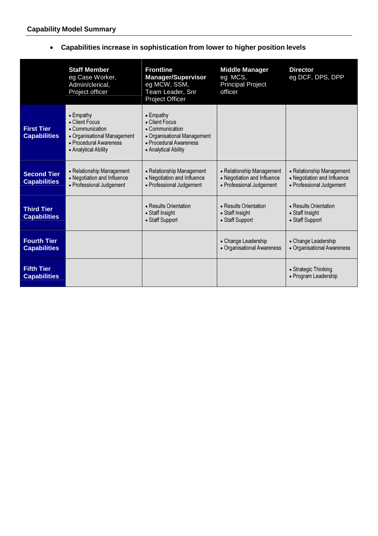## • **Capabilities increase in sophistication from lower to higher position levels**

|                                           | <b>Staff Member</b><br>eg Case Worker,<br>Admin/clerical,<br>Project officer                                                            | <b>Frontline</b><br><b>Manager/Supervisor</b><br>eg MCW, SSM,<br>Team Leader, Snr<br>Project Officer                                    | <b>Middle Manager</b><br>eg MCS,<br><b>Principal Project</b><br>officer              | <b>Director</b><br>eg DCF, DPS, DPP                                                  |
|-------------------------------------------|-----------------------------------------------------------------------------------------------------------------------------------------|-----------------------------------------------------------------------------------------------------------------------------------------|--------------------------------------------------------------------------------------|--------------------------------------------------------------------------------------|
| <b>First Tier</b><br><b>Capabilities</b>  | $\bullet$ Empathy<br>• Client Focus<br>• Communication<br>• Organisational Management<br>• Procedural Awareness<br>• Analytical Ability | $\bullet$ Empathy<br>• Client Focus<br>• Communication<br>• Organisational Management<br>• Procedural Awareness<br>• Analytical Ability |                                                                                      |                                                                                      |
| <b>Second Tier</b><br><b>Capabilities</b> | • Relationship Management<br>• Negotiation and Influence<br>• Professional Judgement                                                    | • Relationship Management<br>• Negotiation and Influence<br>• Professional Judgement                                                    | • Relationship Management<br>• Negotiation and Influence<br>• Professional Judgement | • Relationship Management<br>• Negotiation and Influence<br>· Professional Judgement |
| <b>Third Tier</b><br><b>Capabilities</b>  |                                                                                                                                         | • Results Orientation<br>• Staff Insight<br>• Staff Support                                                                             | • Results Orientation<br>• Staff Insight<br>• Staff Support                          | • Results Orientation<br>• Staff Insight<br>• Staff Support                          |
| <b>Fourth Tier</b><br><b>Capabilities</b> |                                                                                                                                         |                                                                                                                                         | • Change Leadership<br>• Organisational Awareness                                    | • Change Leadership<br>• Organisational Awareness                                    |
| <b>Fifth Tier</b><br><b>Capabilities</b>  |                                                                                                                                         |                                                                                                                                         |                                                                                      | • Strategic Thinking<br>• Program Leadership                                         |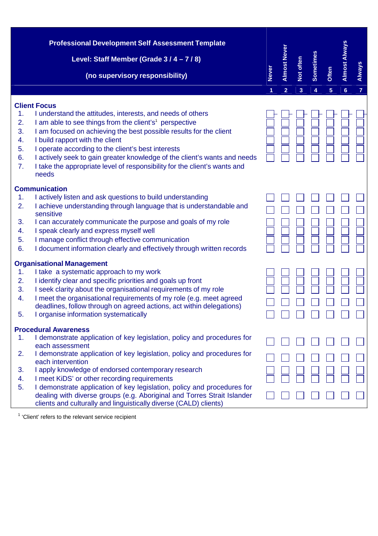|                                        | <b>Professional Development Self Assessment Template</b>                                                                                                                                                                                                                                                                                                                                                                                                                                                                                                    |              |                     |           |                  |       |                      |                |
|----------------------------------------|-------------------------------------------------------------------------------------------------------------------------------------------------------------------------------------------------------------------------------------------------------------------------------------------------------------------------------------------------------------------------------------------------------------------------------------------------------------------------------------------------------------------------------------------------------------|--------------|---------------------|-----------|------------------|-------|----------------------|----------------|
|                                        |                                                                                                                                                                                                                                                                                                                                                                                                                                                                                                                                                             |              |                     |           |                  |       | <b>Almost Always</b> |                |
|                                        | Level: Staff Member (Grade 3 / 4 - 7 / 8)                                                                                                                                                                                                                                                                                                                                                                                                                                                                                                                   |              | <b>Almost Never</b> | Not often | <b>Sometimes</b> |       |                      |                |
|                                        | (no supervisory responsibility)                                                                                                                                                                                                                                                                                                                                                                                                                                                                                                                             | <b>Never</b> |                     |           |                  | Often |                      | <b>Always</b>  |
|                                        |                                                                                                                                                                                                                                                                                                                                                                                                                                                                                                                                                             | 1            | $\overline{2}$      | 3         | 4                | 5     | $6\phantom{a}$       | $\overline{7}$ |
| 1.<br>2.<br>3.<br>4.<br>5.<br>6.<br>7. | <b>Client Focus</b><br>I understand the attitudes, interests, and needs of others<br>I am able to see things from the client's <sup>1</sup> perspective<br>I am focused on achieving the best possible results for the client<br>I build rapport with the client<br>I operate according to the client's best interests<br>I actively seek to gain greater knowledge of the client's wants and needs<br>I take the appropriate level of responsibility for the client's wants and<br>needs                                                                   |              |                     |           |                  |       |                      |                |
| 1.<br>2.<br>3.<br>4.<br>5.<br>6.       | <b>Communication</b><br>I actively listen and ask questions to build understanding<br>I achieve understanding through language that is understandable and<br>sensitive<br>I can accurately communicate the purpose and goals of my role<br>I speak clearly and express myself well<br>I manage conflict through effective communication<br>I document information clearly and effectively through written records                                                                                                                                           |              |                     |           |                  |       |                      |                |
| 1.<br>2.<br>3.<br>4.<br>5.             | <b>Organisational Management</b><br>I take a systematic approach to my work<br>I identify clear and specific priorities and goals up front<br>I seek clarity about the organisational requirements of my role<br>I meet the organisational requirements of my role (e.g. meet agreed<br>deadlines, follow through on agreed actions, act within delegations)<br>I organise information systematically                                                                                                                                                       |              |                     |           |                  |       |                      |                |
| 1.<br>2.<br>3.<br>4.<br>5.             | <b>Procedural Awareness</b><br>I demonstrate application of key legislation, policy and procedures for<br>each assessment<br>I demonstrate application of key legislation, policy and procedures for<br>each intervention<br>I apply knowledge of endorsed contemporary research<br>I meet KiDS' or other recording requirements<br>I demonstrate application of key legislation, policy and procedures for<br>dealing with diverse groups (e.g. Aboriginal and Torres Strait Islander<br>clients and culturally and linguistically diverse (CALD) clients) |              |                     |           |                  |       |                      |                |
|                                        |                                                                                                                                                                                                                                                                                                                                                                                                                                                                                                                                                             |              |                     |           |                  |       |                      |                |

 $1$  'Client' refers to the relevant service recipient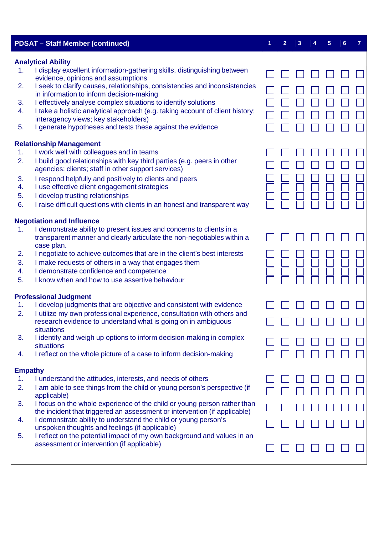|                | <b>PDSAT - Staff Member (continued)</b>                                                                                                      | 1 | $\overline{2}$ | 3 | 5 | 6 |  |
|----------------|----------------------------------------------------------------------------------------------------------------------------------------------|---|----------------|---|---|---|--|
|                | <b>Analytical Ability</b>                                                                                                                    |   |                |   |   |   |  |
| 1.             | I display excellent information-gathering skills, distinguishing between                                                                     |   |                |   |   |   |  |
| 2.             | evidence, opinions and assumptions<br>I seek to clarify causes, relationships, consistencies and inconsistencies                             |   |                |   |   |   |  |
|                | in information to inform decision-making                                                                                                     |   |                |   |   |   |  |
| 3.             | I effectively analyse complex situations to identify solutions                                                                               |   |                |   |   |   |  |
| 4.             | I take a holistic analytical approach (e.g. taking account of client history;                                                                |   |                |   |   |   |  |
|                | interagency views; key stakeholders)                                                                                                         |   |                |   |   |   |  |
| 5.             | I generate hypotheses and tests these against the evidence                                                                                   |   |                |   |   |   |  |
|                | <b>Relationship Management</b>                                                                                                               |   |                |   |   |   |  |
| 1.             | I work well with colleagues and in teams                                                                                                     |   |                |   |   |   |  |
| 2.             | I build good relationships with key third parties (e.g. peers in other<br>agencies; clients; staff in other support services)                |   |                |   |   |   |  |
| 3.             | I respond helpfully and positively to clients and peers                                                                                      |   |                |   |   |   |  |
| 4.             | I use effective client engagement strategies                                                                                                 |   |                |   |   |   |  |
| 5.             | I develop trusting relationships                                                                                                             |   |                |   |   |   |  |
| 6.             | I raise difficult questions with clients in an honest and transparent way                                                                    |   |                |   |   |   |  |
|                | <b>Negotiation and Influence</b>                                                                                                             |   |                |   |   |   |  |
| 1.             | I demonstrate ability to present issues and concerns to clients in a                                                                         |   |                |   |   |   |  |
|                | transparent manner and clearly articulate the non-negotiables within a                                                                       |   |                |   |   |   |  |
| 2.             | case plan.<br>I negotiate to achieve outcomes that are in the client's best interests                                                        |   |                |   |   |   |  |
| 3.             | I make requests of others in a way that engages them                                                                                         |   |                |   |   |   |  |
| 4.             | I demonstrate confidence and competence                                                                                                      |   |                |   |   |   |  |
| 5.             | I know when and how to use assertive behaviour                                                                                               |   |                |   |   |   |  |
|                |                                                                                                                                              |   |                |   |   |   |  |
|                | <b>Professional Judgment</b>                                                                                                                 |   |                |   |   |   |  |
| 1.             | I develop judgments that are objective and consistent with evidence                                                                          |   |                |   |   |   |  |
| 2.             | I utilize my own professional experience, consultation with others and<br>research evidence to understand what is going on in ambiguous      |   |                |   |   |   |  |
|                | situations                                                                                                                                   |   |                |   |   |   |  |
| 3.             | I identify and weigh up options to inform decision-making in complex                                                                         |   |                |   |   |   |  |
|                | situations                                                                                                                                   |   |                |   |   |   |  |
| 4.             | I reflect on the whole picture of a case to inform decision-making                                                                           |   |                |   |   |   |  |
| <b>Empathy</b> |                                                                                                                                              |   |                |   |   |   |  |
| 1.             | I understand the attitudes, interests, and needs of others                                                                                   |   |                |   |   |   |  |
| 2.             | I am able to see things from the child or young person's perspective (if                                                                     |   |                |   |   |   |  |
|                | applicable)                                                                                                                                  |   |                |   |   |   |  |
| 3.             | I focus on the whole experience of the child or young person rather than                                                                     |   |                |   |   |   |  |
| 4.             | the incident that triggered an assessment or intervention (if applicable)<br>I demonstrate ability to understand the child or young person's |   |                |   |   |   |  |
|                | unspoken thoughts and feelings (if applicable)                                                                                               |   |                |   |   |   |  |
| 5.             | I reflect on the potential impact of my own background and values in an                                                                      |   |                |   |   |   |  |
|                | assessment or intervention (if applicable)                                                                                                   |   |                |   |   |   |  |
|                |                                                                                                                                              |   |                |   |   |   |  |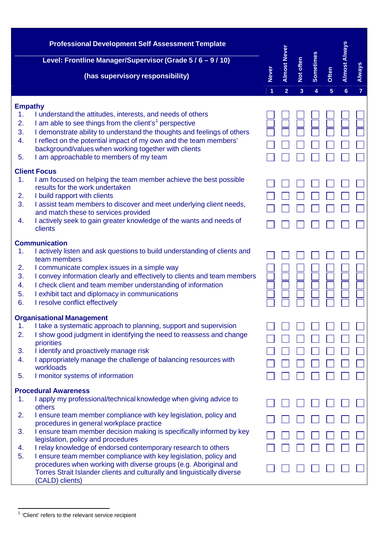|          | <b>Professional Development Self Assessment Template</b>                                                                                |                   |                                       |                |                |            |                                        |                                 |
|----------|-----------------------------------------------------------------------------------------------------------------------------------------|-------------------|---------------------------------------|----------------|----------------|------------|----------------------------------------|---------------------------------|
|          | Level: Frontline Manager/Supervisor (Grade 5 / 6 - 9 / 10)                                                                              |                   |                                       |                |                |            |                                        |                                 |
|          | (has supervisory responsibility)                                                                                                        | <b>Never</b><br>1 | <b>Almost Never</b><br>$\overline{2}$ | Not often<br>3 | Sometimes<br>4 | Often<br>5 | <b>Almost Always</b><br>$6\phantom{a}$ | <b>Always</b><br>$\overline{7}$ |
|          |                                                                                                                                         |                   |                                       |                |                |            |                                        |                                 |
| 1.       | <b>Empathy</b><br>I understand the attitudes, interests, and needs of others                                                            |                   |                                       |                |                |            |                                        |                                 |
| 2.       | I am able to see things from the client's <sup>1</sup> perspective                                                                      |                   |                                       |                |                |            |                                        |                                 |
| 3.       | I demonstrate ability to understand the thoughts and feelings of others                                                                 |                   |                                       |                |                |            |                                        |                                 |
| 4.       | I reflect on the potential impact of my own and the team members'                                                                       |                   |                                       |                |                |            |                                        |                                 |
|          | background/values when working together with clients                                                                                    |                   |                                       |                |                |            |                                        |                                 |
| 5.       | I am approachable to members of my team                                                                                                 |                   |                                       |                |                |            |                                        |                                 |
|          | <b>Client Focus</b>                                                                                                                     |                   |                                       |                |                |            |                                        |                                 |
| 1.       | I am focused on helping the team member achieve the best possible                                                                       |                   |                                       |                |                |            |                                        |                                 |
|          | results for the work undertaken                                                                                                         |                   |                                       |                |                |            |                                        |                                 |
| 2.<br>3. | I build rapport with clients<br>I assist team members to discover and meet underlying client needs,                                     |                   |                                       |                |                |            |                                        |                                 |
|          | and match these to services provided                                                                                                    |                   |                                       |                |                |            |                                        |                                 |
| 4.       | I actively seek to gain greater knowledge of the wants and needs of                                                                     |                   |                                       |                |                |            |                                        |                                 |
|          | clients                                                                                                                                 |                   |                                       |                |                |            |                                        |                                 |
|          | <b>Communication</b>                                                                                                                    |                   |                                       |                |                |            |                                        |                                 |
| 1.       | I actively listen and ask questions to build understanding of clients and                                                               |                   |                                       |                |                |            |                                        |                                 |
|          | team members                                                                                                                            |                   |                                       |                |                |            |                                        |                                 |
| 2.       | I communicate complex issues in a simple way                                                                                            |                   |                                       |                |                |            |                                        |                                 |
| 3.<br>4. | I convey information clearly and effectively to clients and team members<br>I check client and team member understanding of information |                   |                                       |                |                |            |                                        |                                 |
| 5.       | I exhibit tact and diplomacy in communications                                                                                          |                   |                                       |                |                |            |                                        |                                 |
| 6.       | I resolve conflict effectively                                                                                                          |                   |                                       |                |                |            |                                        |                                 |
|          | <b>Organisational Management</b>                                                                                                        |                   |                                       |                |                |            |                                        |                                 |
| 1.       | I take a systematic approach to planning, support and supervision                                                                       |                   |                                       |                |                |            |                                        |                                 |
| 2.       | I show good judgment in identifying the need to reassess and change                                                                     |                   |                                       |                |                |            |                                        |                                 |
|          | priorities                                                                                                                              |                   |                                       |                |                |            |                                        |                                 |
| 3.       | I identify and proactively manage risk                                                                                                  |                   |                                       |                |                |            |                                        |                                 |
| 4.       | I appropriately manage the challenge of balancing resources with<br>workloads                                                           |                   |                                       |                |                |            |                                        |                                 |
| 5.       | I monitor systems of information                                                                                                        |                   |                                       |                |                |            |                                        |                                 |
|          |                                                                                                                                         |                   |                                       |                |                |            |                                        |                                 |
| 1.       | <b>Procedural Awareness</b><br>I apply my professional/technical knowledge when giving advice to                                        |                   |                                       |                |                |            |                                        |                                 |
|          | others                                                                                                                                  |                   |                                       |                |                |            |                                        |                                 |
| 2.       | I ensure team member compliance with key legislation, policy and<br>procedures in general workplace practice                            |                   |                                       |                |                |            |                                        |                                 |
| 3.       | I ensure team member decision making is specifically informed by key                                                                    |                   |                                       |                |                |            |                                        |                                 |
|          | legislation, policy and procedures                                                                                                      |                   |                                       |                |                |            |                                        |                                 |
| 4.       | I relay knowledge of endorsed contemporary research to others                                                                           |                   |                                       |                |                |            |                                        |                                 |
| 5.       | I ensure team member compliance with key legislation, policy and<br>procedures when working with diverse groups (e.g. Aboriginal and    |                   |                                       |                |                |            |                                        |                                 |
|          | Torres Strait Islander clients and culturally and linguistically diverse<br>(CALD) clients)                                             |                   |                                       |                |                |            |                                        |                                 |

<sup>&</sup>lt;sup>1</sup>'Client' refers to the relevant service recipient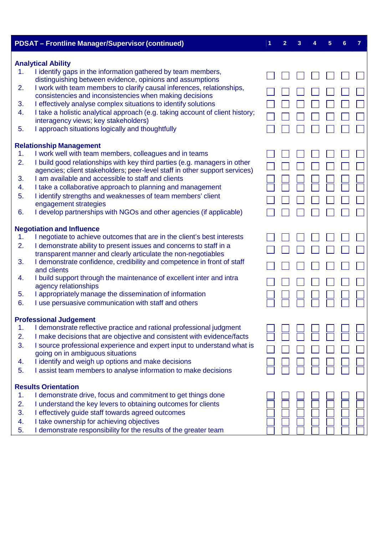|          | <b>PDSAT - Frontline Manager/Supervisor (continued)</b>                                                                                                 | 1 | 2 | 3 | 5 | 6 | 7 |
|----------|---------------------------------------------------------------------------------------------------------------------------------------------------------|---|---|---|---|---|---|
|          | <b>Analytical Ability</b>                                                                                                                               |   |   |   |   |   |   |
| 1.       | I identify gaps in the information gathered by team members,<br>distinguishing between evidence, opinions and assumptions                               |   |   |   |   |   |   |
| 2.       | I work with team members to clarify causal inferences, relationships,<br>consistencies and inconsistencies when making decisions                        |   |   |   |   |   |   |
| 3.       | I effectively analyse complex situations to identify solutions                                                                                          |   |   |   |   |   |   |
| 4.       | I take a holistic analytical approach (e.g. taking account of client history;<br>interagency views; key stakeholders)                                   |   |   |   |   |   |   |
| 5.       | I approach situations logically and thoughtfully                                                                                                        |   |   |   |   |   |   |
|          | <b>Relationship Management</b>                                                                                                                          |   |   |   |   |   |   |
| 1.       | I work well with team members, colleagues and in teams                                                                                                  |   |   |   |   |   |   |
| 2.       | I build good relationships with key third parties (e.g. managers in other<br>agencies; client stakeholders; peer-level staff in other support services) |   |   |   |   |   |   |
| 3.       | I am available and accessible to staff and clients                                                                                                      |   |   |   |   |   |   |
| 4.<br>5. | I take a collaborative approach to planning and management<br>I identify strengths and weaknesses of team members' client                               |   |   |   |   |   |   |
|          | engagement strategies                                                                                                                                   |   |   |   |   |   |   |
| 6.       | I develop partnerships with NGOs and other agencies (if applicable)                                                                                     |   |   |   |   |   |   |
|          | <b>Negotiation and Influence</b>                                                                                                                        |   |   |   |   |   |   |
| 1.       | I negotiate to achieve outcomes that are in the client's best interests                                                                                 |   |   |   |   |   |   |
| 2.       | I demonstrate ability to present issues and concerns to staff in a                                                                                      |   |   |   |   |   |   |
| 3.       | transparent manner and clearly articulate the non-negotiables<br>I demonstrate confidence, credibility and competence in front of staff                 |   |   |   |   |   |   |
|          | and clients                                                                                                                                             |   |   |   |   |   |   |
| 4.       | I build support through the maintenance of excellent inter and intra<br>agency relationships                                                            |   |   |   |   |   |   |
| 5.       | I appropriately manage the dissemination of information                                                                                                 |   |   |   |   |   |   |
| 6.       | I use persuasive communication with staff and others                                                                                                    |   |   |   |   |   |   |
|          | <b>Professional Judgement</b>                                                                                                                           |   |   |   |   |   |   |
| 1.       | I demonstrate reflective practice and rational professional judgment                                                                                    |   |   |   |   |   |   |
| 2.       | I make decisions that are objective and consistent with evidence/facts                                                                                  |   |   |   |   |   |   |
| 3.       | I source professional experience and expert input to understand what is<br>going on in ambiguous situations                                             |   |   |   |   |   |   |
| 4.       | I identify and weigh up options and make decisions                                                                                                      |   |   |   |   |   |   |
| 5.       | I assist team members to analyse information to make decisions                                                                                          |   |   |   |   |   |   |
|          | <b>Results Orientation</b>                                                                                                                              |   |   |   |   |   |   |
| 1.       | I demonstrate drive, focus and commitment to get things done                                                                                            |   |   |   |   |   |   |
| 2.       | I understand the key levers to obtaining outcomes for clients                                                                                           |   |   |   |   |   |   |
| 3.<br>4. | I effectively guide staff towards agreed outcomes<br>I take ownership for achieving objectives                                                          |   |   |   |   |   |   |
| 5.       | I demonstrate responsibility for the results of the greater team                                                                                        |   |   |   |   |   |   |
|          |                                                                                                                                                         |   |   |   |   |   |   |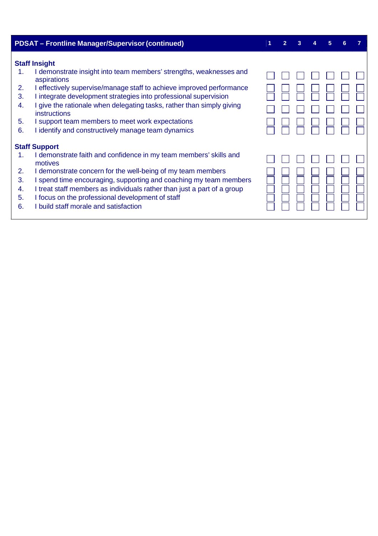|                                  | <b>PDSAT - Frontline Manager/Supervisor (continued)</b>                                                                                                                                                                                                                                                                                                                                                                                                         | $\overline{2}$ |  | 5 | 6 |  |
|----------------------------------|-----------------------------------------------------------------------------------------------------------------------------------------------------------------------------------------------------------------------------------------------------------------------------------------------------------------------------------------------------------------------------------------------------------------------------------------------------------------|----------------|--|---|---|--|
| 1.<br>2.<br>3.<br>4.<br>5.<br>6. | <b>Staff Insight</b><br>I demonstrate insight into team members' strengths, weaknesses and<br>aspirations<br>I effectively supervise/manage staff to achieve improved performance<br>I integrate development strategies into professional supervision<br>I give the rationale when delegating tasks, rather than simply giving<br><b>instructions</b><br>I support team members to meet work expectations<br>I identify and constructively manage team dynamics |                |  |   |   |  |
|                                  | <b>Staff Support</b>                                                                                                                                                                                                                                                                                                                                                                                                                                            |                |  |   |   |  |
| 1.<br>2.<br>3.<br>4.<br>5.<br>6. | I demonstrate faith and confidence in my team members' skills and<br>motives<br>I demonstrate concern for the well-being of my team members<br>I spend time encouraging, supporting and coaching my team members<br>I treat staff members as individuals rather than just a part of a group<br>I focus on the professional development of staff<br>I build staff morale and satisfaction                                                                        |                |  |   |   |  |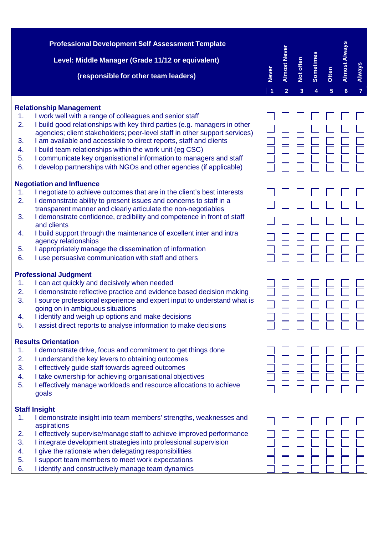|    | <b>Professional Development Self Assessment Template</b><br>Level: Middle Manager (Grade 11/12 or equivalent)<br>(responsible for other team leaders) | <b>Never</b><br>1 | <b>Almost Never</b><br>$\overline{2}$ | Not often<br>3 | Sometimes<br>4 | Often<br>5 | <b>Almost Always</b><br>$6\phantom{a}$ | <b>Always</b><br>7 |
|----|-------------------------------------------------------------------------------------------------------------------------------------------------------|-------------------|---------------------------------------|----------------|----------------|------------|----------------------------------------|--------------------|
|    | <b>Relationship Management</b>                                                                                                                        |                   |                                       |                |                |            |                                        |                    |
| 1. | I work well with a range of colleagues and senior staff                                                                                               |                   |                                       |                |                |            |                                        |                    |
| 2. | I build good relationships with key third parties (e.g. managers in other                                                                             |                   |                                       |                |                |            |                                        |                    |
|    | agencies; client stakeholders; peer-level staff in other support services)                                                                            |                   |                                       |                |                |            |                                        |                    |
| 3. | I am available and accessible to direct reports, staff and clients                                                                                    |                   |                                       |                |                |            |                                        |                    |
| 4. | I build team relationships within the work unit (eg CSC)                                                                                              |                   |                                       |                |                |            |                                        |                    |
| 5. | I communicate key organisational information to managers and staff                                                                                    |                   |                                       |                |                |            |                                        |                    |
| 6. | I develop partnerships with NGOs and other agencies (if applicable)                                                                                   |                   |                                       |                |                |            |                                        |                    |
|    | <b>Negotiation and Influence</b>                                                                                                                      |                   |                                       |                |                |            |                                        |                    |
| 1. | I negotiate to achieve outcomes that are in the client's best interests                                                                               |                   |                                       |                |                |            |                                        |                    |
| 2. | I demonstrate ability to present issues and concerns to staff in a                                                                                    |                   |                                       |                |                |            |                                        |                    |
|    | transparent manner and clearly articulate the non-negotiables                                                                                         |                   |                                       |                |                |            |                                        |                    |
| 3. | I demonstrate confidence, credibility and competence in front of staff                                                                                |                   |                                       |                |                |            |                                        |                    |
| 4. | and clients<br>I build support through the maintenance of excellent inter and intra                                                                   |                   |                                       |                |                |            |                                        |                    |
|    | agency relationships                                                                                                                                  |                   |                                       |                |                |            |                                        |                    |
| 5. | I appropriately manage the dissemination of information                                                                                               |                   |                                       |                |                |            |                                        |                    |
| 6. | I use persuasive communication with staff and others                                                                                                  |                   |                                       |                |                |            |                                        |                    |
|    | <b>Professional Judgment</b>                                                                                                                          |                   |                                       |                |                |            |                                        |                    |
| 1. | I can act quickly and decisively when needed                                                                                                          |                   |                                       |                |                |            |                                        |                    |
| 2. | I demonstrate reflective practice and evidence based decision making                                                                                  |                   |                                       |                |                |            |                                        |                    |
| 3. | I source professional experience and expert input to understand what is                                                                               |                   |                                       |                |                |            |                                        |                    |
|    | going on in ambiguous situations                                                                                                                      |                   |                                       |                |                |            |                                        |                    |
| 4. | I identify and weigh up options and make decisions                                                                                                    |                   |                                       |                |                |            |                                        |                    |
| 5. | I assist direct reports to analyse information to make decisions                                                                                      |                   |                                       |                |                |            |                                        |                    |
|    | <b>Results Orientation</b>                                                                                                                            |                   |                                       |                |                |            |                                        |                    |
| 1. | I demonstrate drive, focus and commitment to get things done                                                                                          |                   |                                       |                |                |            |                                        |                    |
| 2. | understand the key levers to obtaining outcomes                                                                                                       |                   |                                       |                |                |            |                                        |                    |
| 3. | I effectively guide staff towards agreed outcomes                                                                                                     |                   |                                       |                |                |            |                                        |                    |
| 4. | I take ownership for achieving organisational objectives                                                                                              |                   |                                       |                |                |            |                                        |                    |
| 5. | I effectively manage workloads and resource allocations to achieve                                                                                    |                   |                                       |                |                |            |                                        |                    |
|    | goals                                                                                                                                                 |                   |                                       |                |                |            |                                        |                    |
|    | <b>Staff Insight</b>                                                                                                                                  |                   |                                       |                |                |            |                                        |                    |
| 1. | I demonstrate insight into team members' strengths, weaknesses and                                                                                    |                   |                                       |                |                |            |                                        |                    |
|    | aspirations                                                                                                                                           |                   |                                       |                |                |            |                                        |                    |
| 2. | I effectively supervise/manage staff to achieve improved performance                                                                                  |                   |                                       |                |                |            |                                        |                    |
| 3. | I integrate development strategies into professional supervision                                                                                      |                   |                                       |                |                |            |                                        |                    |
| 4. | give the rationale when delegating responsibilities                                                                                                   |                   |                                       |                |                |            |                                        |                    |
| 5. | support team members to meet work expectations                                                                                                        |                   |                                       |                |                |            |                                        |                    |
| 6. | I identify and constructively manage team dynamics                                                                                                    |                   |                                       |                |                |            |                                        |                    |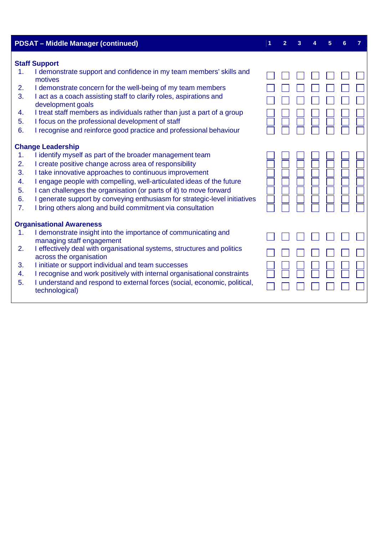|                                        | <b>PDSAT - Middle Manager (continued)</b>                                                                                                                                                                                                                                                                                                                                                                                                                                                           | 2 | 3 | 5 | 6 |  |
|----------------------------------------|-----------------------------------------------------------------------------------------------------------------------------------------------------------------------------------------------------------------------------------------------------------------------------------------------------------------------------------------------------------------------------------------------------------------------------------------------------------------------------------------------------|---|---|---|---|--|
| 1.<br>2.<br>3.<br>4.<br>5.<br>6.       | <b>Staff Support</b><br>I demonstrate support and confidence in my team members' skills and<br>motives<br>I demonstrate concern for the well-being of my team members<br>I act as a coach assisting staff to clarify roles, aspirations and<br>development goals<br>I treat staff members as individuals rather than just a part of a group<br>I focus on the professional development of staff<br>I recognise and reinforce good practice and professional behaviour                               |   |   |   |   |  |
| 1.<br>2.<br>3.<br>4.<br>5.<br>6.<br>7. | <b>Change Leadership</b><br>I identify myself as part of the broader management team<br>I create positive change across area of responsibility<br>I take innovative approaches to continuous improvement<br>I engage people with compelling, well-articulated ideas of the future<br>I can challenges the organisation (or parts of it) to move forward<br>I generate support by conveying enthusiasm for strategic-level initiatives<br>I bring others along and build commitment via consultation |   |   |   |   |  |
| 1.<br>2.<br>3.<br>4.<br>5.             | <b>Organisational Awareness</b><br>I demonstrate insight into the importance of communicating and<br>managing staff engagement<br>I effectively deal with organisational systems, structures and politics<br>across the organisation<br>I initiate or support individual and team successes<br>I recognise and work positively with internal organisational constraints<br>I understand and respond to external forces (social, economic, political,<br>technological)                              |   |   |   |   |  |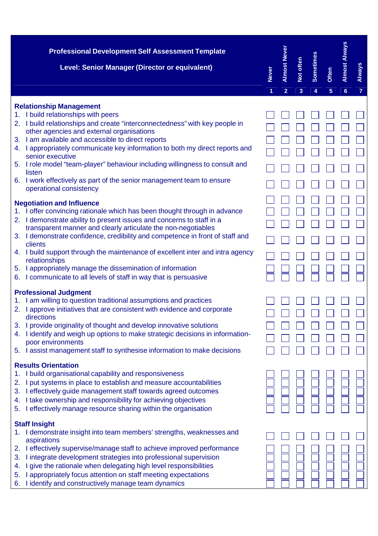| <b>Professional Development Self Assessment Template</b><br>Level: Senior Manager (Director or equivalent)                                                                                                                                                                                                                                                                                                                                                                                                                                                                                   | <b>Never</b>   | <b>Almost Never</b> | Not often | Sometimes | <b>Often</b> | <b>Almost Always</b> | <b>Always</b>  |
|----------------------------------------------------------------------------------------------------------------------------------------------------------------------------------------------------------------------------------------------------------------------------------------------------------------------------------------------------------------------------------------------------------------------------------------------------------------------------------------------------------------------------------------------------------------------------------------------|----------------|---------------------|-----------|-----------|--------------|----------------------|----------------|
|                                                                                                                                                                                                                                                                                                                                                                                                                                                                                                                                                                                              | $\overline{1}$ | $\overline{2}$      | 3         | 4         | 5            | $6\phantom{1}$       | $\overline{7}$ |
| <b>Relationship Management</b><br>1. I build relationships with peers<br>2. I build relationships and create "interconnectedness" with key people in<br>other agencies and external organisations<br>I am available and accessible to direct reports<br>3.<br>4. I appropriately communicate key information to both my direct reports and<br>senior executive<br>5. I role model "team-player" behaviour including willingness to consult and<br>listen<br>6. I work effectively as part of the senior management team to ensure<br>operational consistency                                 |                |                     |           |           |              |                      |                |
| <b>Negotiation and Influence</b><br>I offer convincing rationale which has been thought through in advance<br>2. I demonstrate ability to present issues and concerns to staff in a<br>transparent manner and clearly articulate the non-negotiables<br>3. I demonstrate confidence, credibility and competence in front of staff and<br>clients<br>4. I build support through the maintenance of excellent inter and intra agency<br>relationships<br>I appropriately manage the dissemination of information<br>5.<br>I communicate to all levels of staff in way that is persuasive<br>6. |                |                     |           |           |              |                      |                |
| <b>Professional Judgment</b><br>I am willing to question traditional assumptions and practices<br>1.<br>I approve initiatives that are consistent with evidence and corporate<br>directions<br>I provide originality of thought and develop innovative solutions<br>3.<br>I identify and weigh up options to make strategic decisions in information-<br>4.<br>poor environments<br>I assist management staff to synthesise information to make decisions<br>5.                                                                                                                              |                |                     |           |           |              |                      |                |
| <b>Results Orientation</b><br>I build organisational capability and responsiveness<br>I put systems in place to establish and measure accountabilities<br>2.<br>I effectively guide management staff towards agreed outcomes<br>3.<br>I take ownership and responsibility for achieving objectives<br>4.<br>I effectively manage resource sharing within the organisation<br>5.                                                                                                                                                                                                              |                |                     |           |           |              |                      |                |
| <b>Staff Insight</b><br>I demonstrate insight into team members' strengths, weaknesses and<br>aspirations<br>I effectively supervise/manage staff to achieve improved performance<br>2.<br>I integrate development strategies into professional supervision<br>3.<br>I give the rationale when delegating high level responsibilities<br>4.<br>I appropriately focus attention on staff meeting expectations<br>5.<br>I identify and constructively manage team dynamics<br>6.                                                                                                               |                |                     |           |           |              |                      |                |